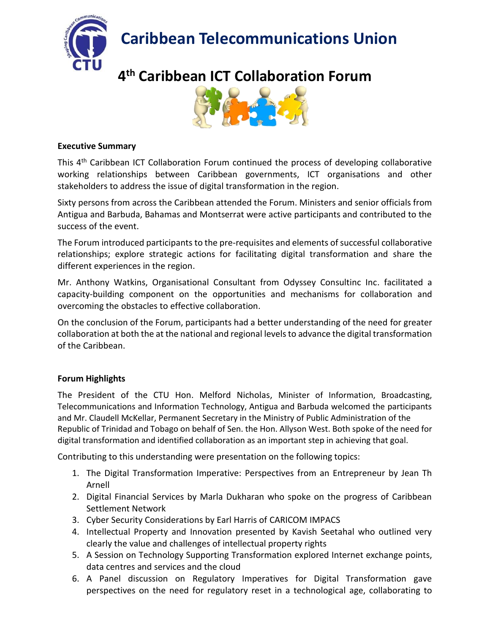**Caribbean Telecommunications Union**



# **4 th Caribbean ICT Collaboration Forum**



### **Executive Summary**

This 4<sup>th</sup> Caribbean ICT Collaboration Forum continued the process of developing collaborative working relationships between Caribbean governments, ICT organisations and other stakeholders to address the issue of digital transformation in the region.

Sixty persons from across the Caribbean attended the Forum. Ministers and senior officials from Antigua and Barbuda, Bahamas and Montserrat were active participants and contributed to the success of the event.

The Forum introduced participants to the pre-requisites and elements of successful collaborative relationships; explore strategic actions for facilitating digital transformation and share the different experiences in the region.

Mr. Anthony Watkins, Organisational Consultant from Odyssey Consultinc Inc. facilitated a capacity-building component on the opportunities and mechanisms for collaboration and overcoming the obstacles to effective collaboration.

On the conclusion of the Forum, participants had a better understanding of the need for greater collaboration at both the at the national and regional levelsto advance the digital transformation of the Caribbean.

## **Forum Highlights**

The President of the CTU Hon. Melford Nicholas, Minister of Information, Broadcasting, Telecommunications and Information Technology, Antigua and Barbuda welcomed the participants and Mr. Claudell McKellar, Permanent Secretary in the Ministry of Public Administration of the Republic of Trinidad and Tobago on behalf of Sen. the Hon. Allyson West. Both spoke of the need for digital transformation and identified collaboration as an important step in achieving that goal.

Contributing to this understanding were presentation on the following topics:

- 1. The Digital Transformation Imperative: Perspectives from an Entrepreneur by Jean Th Arnell
- 2. Digital Financial Services by Marla Dukharan who spoke on the progress of Caribbean Settlement Network
- 3. Cyber Security Considerations by Earl Harris of CARICOM IMPACS
- 4. Intellectual Property and Innovation presented by Kavish Seetahal who outlined very clearly the value and challenges of intellectual property rights
- 5. A Session on Technology Supporting Transformation explored Internet exchange points, data centres and services and the cloud
- 6. A Panel discussion on Regulatory Imperatives for Digital Transformation gave perspectives on the need for regulatory reset in a technological age, collaborating to